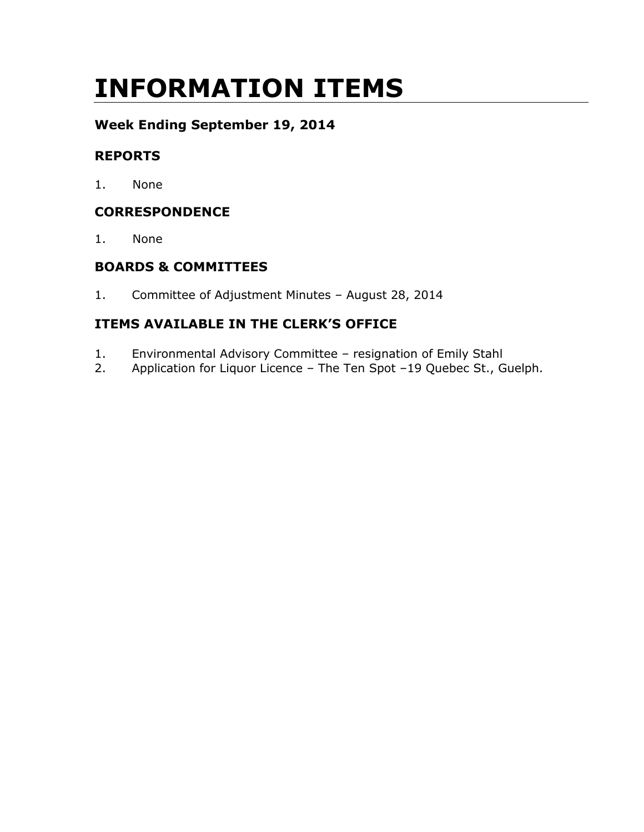# INFORMATION ITEMS

# Week Ending September 19, 2014

# REPORTS

1. None

# **CORRESPONDENCE**

1. None

# BOARDS & COMMITTEES

1. Committee of Adjustment Minutes – August 28, 2014

# ITEMS AVAILABLE IN THE CLERK'S OFFICE

- 1. Environmental Advisory Committee resignation of Emily Stahl
- 2. Application for Liquor Licence The Ten Spot –19 Quebec St., Guelph.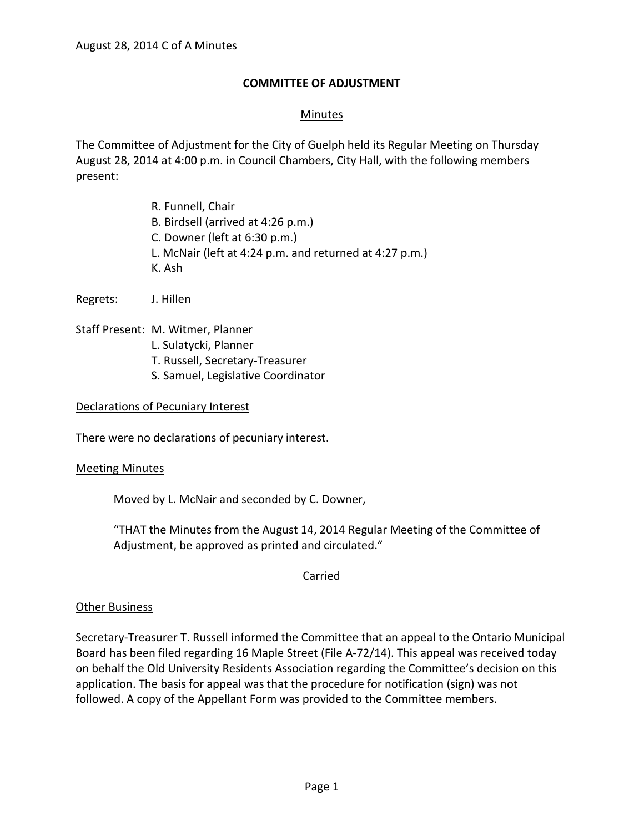# **COMMITTEE OF ADJUSTMENT**

# Minutes

The Committee of Adjustment for the City of Guelph held its Regular Meeting on Thursday August 28, 2014 at 4:00 p.m. in Council Chambers, City Hall, with the following members present:

> R. Funnell, Chair B. Birdsell (arrived at 4:26 p.m.) C. Downer (left at 6:30 p.m.) L. McNair (left at 4:24 p.m. and returned at 4:27 p.m.) K. Ash

Regrets: J. Hillen

Staff Present: M. Witmer, Planner

- L. Sulatycki, Planner
- T. Russell, Secretary-Treasurer
- S. Samuel, Legislative Coordinator

## Declarations of Pecuniary Interest

There were no declarations of pecuniary interest.

#### Meeting Minutes

Moved by L. McNair and seconded by C. Downer,

"THAT the Minutes from the August 14, 2014 Regular Meeting of the Committee of Adjustment, be approved as printed and circulated."

Carried

## Other Business

Secretary-Treasurer T. Russell informed the Committee that an appeal to the Ontario Municipal Board has been filed regarding 16 Maple Street (File A-72/14). This appeal was received today on behalf the Old University Residents Association regarding the Committee's decision on this application. The basis for appeal was that the procedure for notification (sign) was not followed. A copy of the Appellant Form was provided to the Committee members.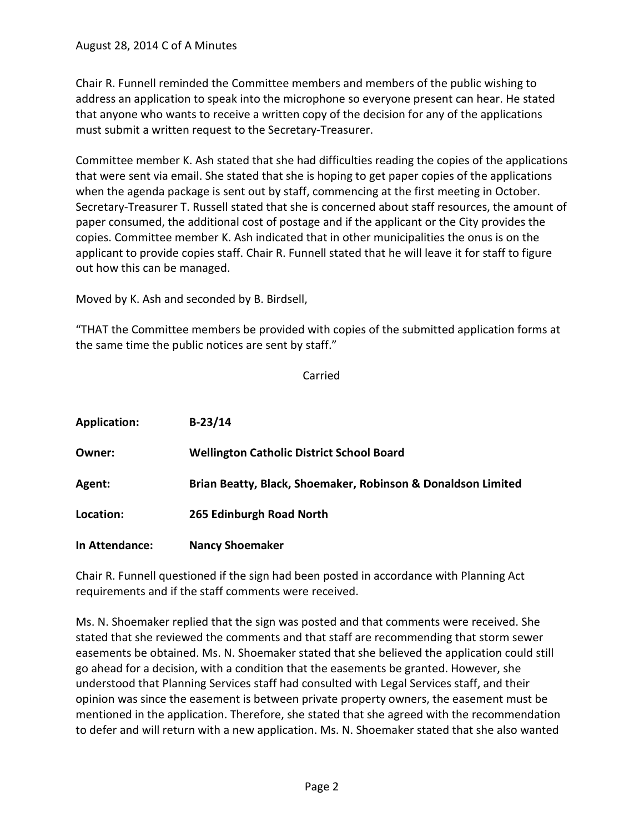Chair R. Funnell reminded the Committee members and members of the public wishing to address an application to speak into the microphone so everyone present can hear. He stated that anyone who wants to receive a written copy of the decision for any of the applications must submit a written request to the Secretary-Treasurer.

Committee member K. Ash stated that she had difficulties reading the copies of the applications that were sent via email. She stated that she is hoping to get paper copies of the applications when the agenda package is sent out by staff, commencing at the first meeting in October. Secretary-Treasurer T. Russell stated that she is concerned about staff resources, the amount of paper consumed, the additional cost of postage and if the applicant or the City provides the copies. Committee member K. Ash indicated that in other municipalities the onus is on the applicant to provide copies staff. Chair R. Funnell stated that he will leave it for staff to figure out how this can be managed.

Moved by K. Ash and seconded by B. Birdsell,

"THAT the Committee members be provided with copies of the submitted application forms at the same time the public notices are sent by staff."

Carried

| <b>Application:</b> | $B-23/14$                                                    |
|---------------------|--------------------------------------------------------------|
| Owner:              | <b>Wellington Catholic District School Board</b>             |
| Agent:              | Brian Beatty, Black, Shoemaker, Robinson & Donaldson Limited |
| Location:           | 265 Edinburgh Road North                                     |
| In Attendance:      | <b>Nancy Shoemaker</b>                                       |

Chair R. Funnell questioned if the sign had been posted in accordance with Planning Act requirements and if the staff comments were received.

Ms. N. Shoemaker replied that the sign was posted and that comments were received. She stated that she reviewed the comments and that staff are recommending that storm sewer easements be obtained. Ms. N. Shoemaker stated that she believed the application could still go ahead for a decision, with a condition that the easements be granted. However, she understood that Planning Services staff had consulted with Legal Services staff, and their opinion was since the easement is between private property owners, the easement must be mentioned in the application. Therefore, she stated that she agreed with the recommendation to defer and will return with a new application. Ms. N. Shoemaker stated that she also wanted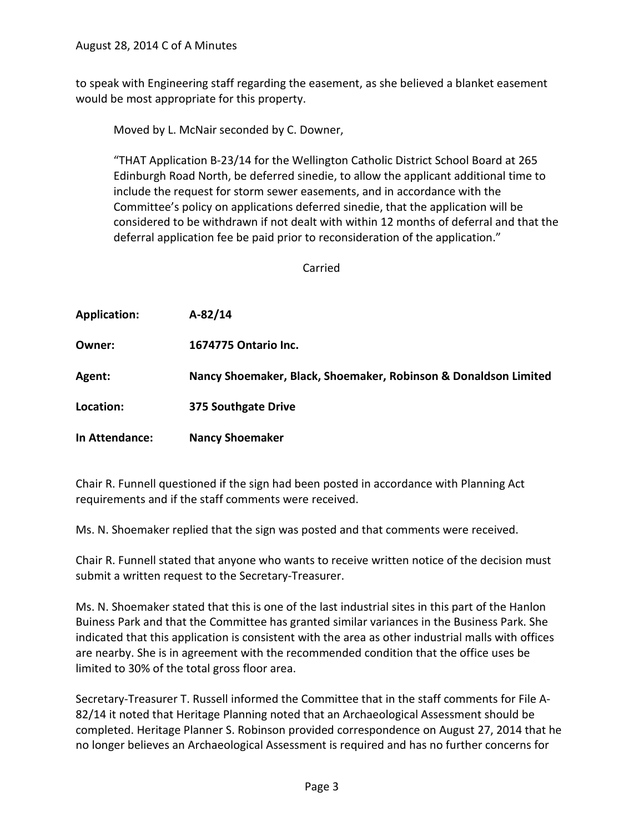to speak with Engineering staff regarding the easement, as she believed a blanket easement would be most appropriate for this property.

Moved by L. McNair seconded by C. Downer,

"THAT Application B-23/14 for the Wellington Catholic District School Board at 265 Edinburgh Road North, be deferred sinedie, to allow the applicant additional time to include the request for storm sewer easements, and in accordance with the Committee's policy on applications deferred sinedie, that the application will be considered to be withdrawn if not dealt with within 12 months of deferral and that the deferral application fee be paid prior to reconsideration of the application."

Carried

| <b>Application:</b> | $A-82/14$                                                       |
|---------------------|-----------------------------------------------------------------|
| Owner:              | 1674775 Ontario Inc.                                            |
| Agent:              | Nancy Shoemaker, Black, Shoemaker, Robinson & Donaldson Limited |
| Location:           | 375 Southgate Drive                                             |
| In Attendance:      | <b>Nancy Shoemaker</b>                                          |

Chair R. Funnell questioned if the sign had been posted in accordance with Planning Act requirements and if the staff comments were received.

Ms. N. Shoemaker replied that the sign was posted and that comments were received.

Chair R. Funnell stated that anyone who wants to receive written notice of the decision must submit a written request to the Secretary-Treasurer.

Ms. N. Shoemaker stated that this is one of the last industrial sites in this part of the Hanlon Buiness Park and that the Committee has granted similar variances in the Business Park. She indicated that this application is consistent with the area as other industrial malls with offices are nearby. She is in agreement with the recommended condition that the office uses be limited to 30% of the total gross floor area.

Secretary-Treasurer T. Russell informed the Committee that in the staff comments for File A-82/14 it noted that Heritage Planning noted that an Archaeological Assessment should be completed. Heritage Planner S. Robinson provided correspondence on August 27, 2014 that he no longer believes an Archaeological Assessment is required and has no further concerns for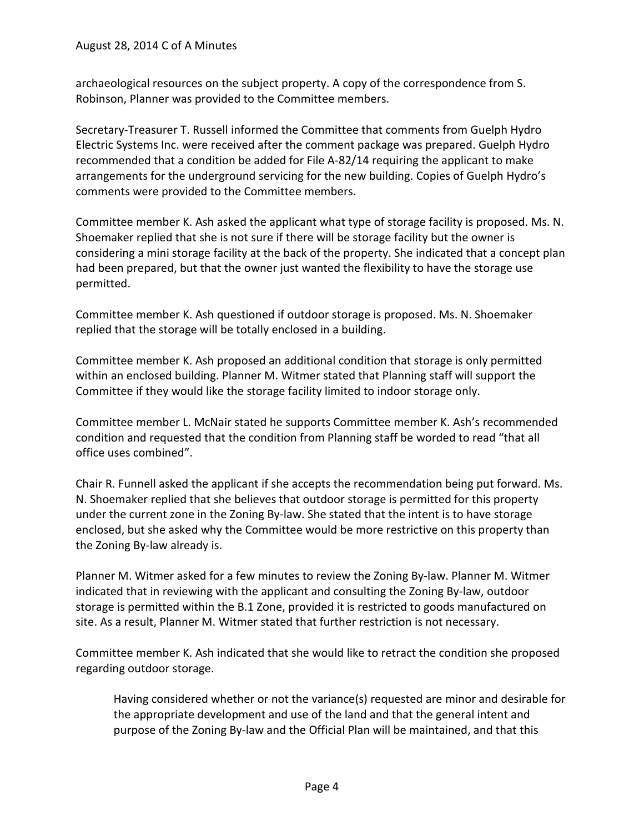archaeological resources on the subject property. A copy of the correspondence from S. Robinson, Planner was provided to the Committee members.

Secretary-Treasurer T. Russell informed the Committee that comments from Guelph Hydro Electric Systems Inc. were received after the comment package was prepared. Guelph Hydro recommended that a condition be added for File A-82/14 requiring the applicant to make arrangements for the underground servicing for the new building. Copies of Guelph Hydro's comments were provided to the Committee members.

Committee member K. Ash asked the applicant what type of storage facility is proposed. Ms. N. Shoemaker replied that she is not sure if there will be storage facility but the owner is considering a mini storage facility at the back of the property. She indicated that a concept plan had been prepared, but that the owner just wanted the flexibility to have the storage use permitted.

Committee member K. Ash questioned if outdoor storage is proposed. Ms. N. Shoemaker replied that the storage will be totally enclosed in a building.

Committee member K. Ash proposed an additional condition that storage is only permitted within an enclosed building. Planner M. Witmer stated that Planning staff will support the Committee if they would like the storage facility limited to indoor storage only.

Committee member L. McNair stated he supports Committee member K. Ash's recommended condition and requested that the condition from Planning staff be worded to read "that all office uses combined".

Chair R. Funnell asked the applicant if she accepts the recommendation being put forward. Ms. N. Shoemaker replied that she believes that outdoor storage is permitted for this property under the current zone in the Zoning By-law. She stated that the intent is to have storage enclosed, but she asked why the Committee would be more restrictive on this property than the Zoning By-law already is.

Planner M. Witmer asked for a few minutes to review the Zoning By-law. Planner M. Witmer indicated that in reviewing with the applicant and consulting the Zoning By-law, outdoor storage is permitted within the B.1 Zone, provided it is restricted to goods manufactured on site. As a result, Planner M. Witmer stated that further restriction is not necessary.

Committee member K. Ash indicated that she would like to retract the condition she proposed regarding outdoor storage.

Having considered whether or not the variance(s) requested are minor and desirable for the appropriate development and use of the land and that the general intent and purpose of the Zoning By-law and the Official Plan will be maintained, and that this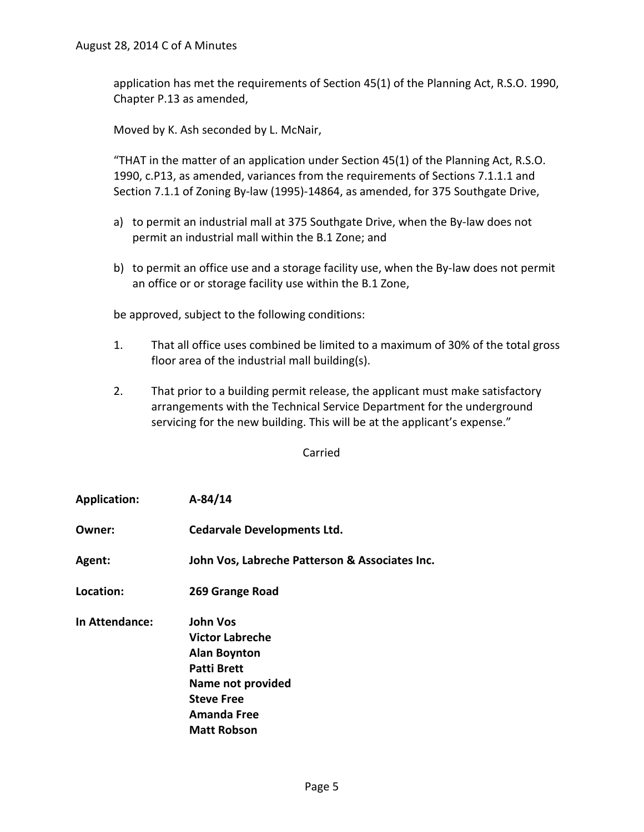application has met the requirements of Section 45(1) of the Planning Act, R.S.O. 1990, Chapter P.13 as amended,

Moved by K. Ash seconded by L. McNair,

"THAT in the matter of an application under Section 45(1) of the Planning Act, R.S.O. 1990, c.P13, as amended, variances from the requirements of Sections 7.1.1.1 and Section 7.1.1 of Zoning By-law (1995)-14864, as amended, for 375 Southgate Drive,

- a) to permit an industrial mall at 375 Southgate Drive, when the By-law does not permit an industrial mall within the B.1 Zone; and
- b) to permit an office use and a storage facility use, when the By-law does not permit an office or or storage facility use within the B.1 Zone,

be approved, subject to the following conditions:

- 1. That all office uses combined be limited to a maximum of 30% of the total gross floor area of the industrial mall building(s).
- 2. That prior to a building permit release, the applicant must make satisfactory arrangements with the Technical Service Department for the underground servicing for the new building. This will be at the applicant's expense."

Carried

- **Application: A-84/14**
- **Owner: Cedarvale Developments Ltd.**
- **Agent: John Vos, Labreche Patterson & Associates Inc.**
- **Location: 269 Grange Road**
- **In Attendance: John Vos Victor Labreche Alan Boynton Patti Brett Name not provided Steve Free Amanda Free Matt Robson**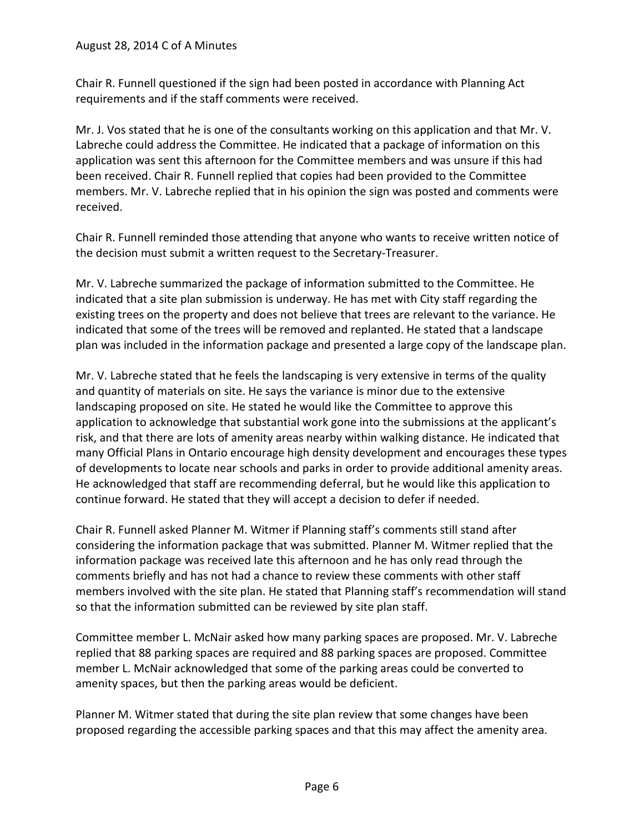Chair R. Funnell questioned if the sign had been posted in accordance with Planning Act requirements and if the staff comments were received.

Mr. J. Vos stated that he is one of the consultants working on this application and that Mr. V. Labreche could address the Committee. He indicated that a package of information on this application was sent this afternoon for the Committee members and was unsure if this had been received. Chair R. Funnell replied that copies had been provided to the Committee members. Mr. V. Labreche replied that in his opinion the sign was posted and comments were received.

Chair R. Funnell reminded those attending that anyone who wants to receive written notice of the decision must submit a written request to the Secretary-Treasurer.

Mr. V. Labreche summarized the package of information submitted to the Committee. He indicated that a site plan submission is underway. He has met with City staff regarding the existing trees on the property and does not believe that trees are relevant to the variance. He indicated that some of the trees will be removed and replanted. He stated that a landscape plan was included in the information package and presented a large copy of the landscape plan.

Mr. V. Labreche stated that he feels the landscaping is very extensive in terms of the quality and quantity of materials on site. He says the variance is minor due to the extensive landscaping proposed on site. He stated he would like the Committee to approve this application to acknowledge that substantial work gone into the submissions at the applicant's risk, and that there are lots of amenity areas nearby within walking distance. He indicated that many Official Plans in Ontario encourage high density development and encourages these types of developments to locate near schools and parks in order to provide additional amenity areas. He acknowledged that staff are recommending deferral, but he would like this application to continue forward. He stated that they will accept a decision to defer if needed.

Chair R. Funnell asked Planner M. Witmer if Planning staff's comments still stand after considering the information package that was submitted. Planner M. Witmer replied that the information package was received late this afternoon and he has only read through the comments briefly and has not had a chance to review these comments with other staff members involved with the site plan. He stated that Planning staff's recommendation will stand so that the information submitted can be reviewed by site plan staff.

Committee member L. McNair asked how many parking spaces are proposed. Mr. V. Labreche replied that 88 parking spaces are required and 88 parking spaces are proposed. Committee member L. McNair acknowledged that some of the parking areas could be converted to amenity spaces, but then the parking areas would be deficient.

Planner M. Witmer stated that during the site plan review that some changes have been proposed regarding the accessible parking spaces and that this may affect the amenity area.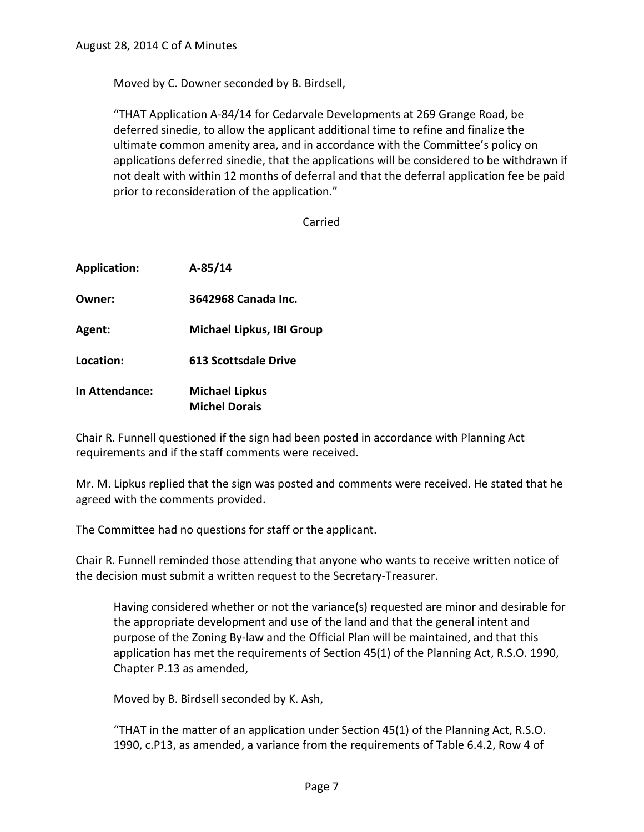Moved by C. Downer seconded by B. Birdsell,

"THAT Application A-84/14 for Cedarvale Developments at 269 Grange Road, be deferred sinedie, to allow the applicant additional time to refine and finalize the ultimate common amenity area, and in accordance with the Committee's policy on applications deferred sinedie, that the applications will be considered to be withdrawn if not dealt with within 12 months of deferral and that the deferral application fee be paid prior to reconsideration of the application."

Carried

| <b>Application:</b>   | $A-85/14$                                     |
|-----------------------|-----------------------------------------------|
| Owner:                | 3642968 Canada Inc.                           |
| Agent:                | <b>Michael Lipkus, IBI Group</b>              |
| Location:             | <b>613 Scottsdale Drive</b>                   |
| <b>In Attendance:</b> | <b>Michael Lipkus</b><br><b>Michel Dorais</b> |

Chair R. Funnell questioned if the sign had been posted in accordance with Planning Act requirements and if the staff comments were received.

Mr. M. Lipkus replied that the sign was posted and comments were received. He stated that he agreed with the comments provided.

The Committee had no questions for staff or the applicant.

Chair R. Funnell reminded those attending that anyone who wants to receive written notice of the decision must submit a written request to the Secretary-Treasurer.

Having considered whether or not the variance(s) requested are minor and desirable for the appropriate development and use of the land and that the general intent and purpose of the Zoning By-law and the Official Plan will be maintained, and that this application has met the requirements of Section 45(1) of the Planning Act, R.S.O. 1990, Chapter P.13 as amended,

Moved by B. Birdsell seconded by K. Ash,

"THAT in the matter of an application under Section 45(1) of the Planning Act, R.S.O. 1990, c.P13, as amended, a variance from the requirements of Table 6.4.2, Row 4 of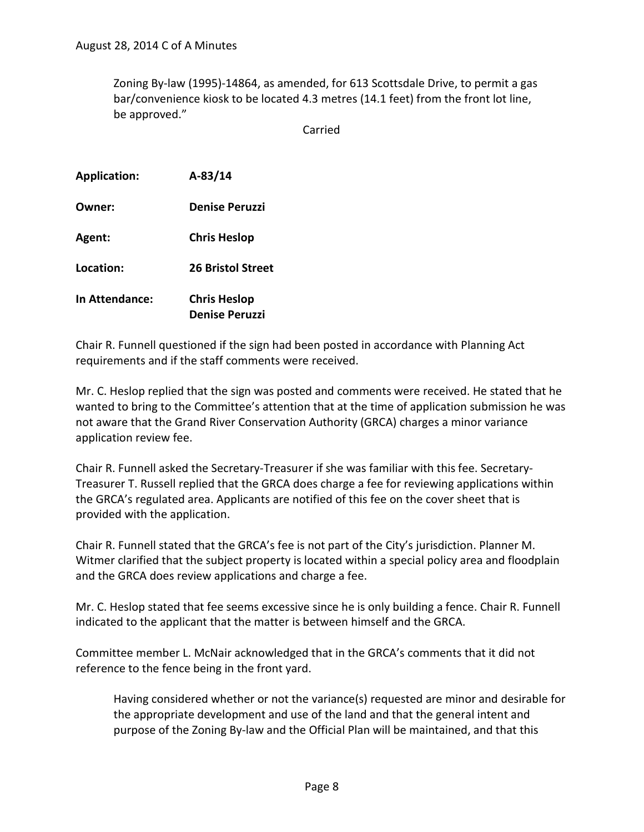Zoning By-law (1995)-14864, as amended, for 613 Scottsdale Drive, to permit a gas bar/convenience kiosk to be located 4.3 metres (14.1 feet) from the front lot line, be approved."

Carried

| <b>Application:</b> | $A-83/14$                                    |
|---------------------|----------------------------------------------|
| Owner:              | <b>Denise Peruzzi</b>                        |
| Agent:              | <b>Chris Heslop</b>                          |
| Location:           | <b>26 Bristol Street</b>                     |
| In Attendance:      | <b>Chris Heslop</b><br><b>Denise Peruzzi</b> |

Chair R. Funnell questioned if the sign had been posted in accordance with Planning Act requirements and if the staff comments were received.

Mr. C. Heslop replied that the sign was posted and comments were received. He stated that he wanted to bring to the Committee's attention that at the time of application submission he was not aware that the Grand River Conservation Authority (GRCA) charges a minor variance application review fee.

Chair R. Funnell asked the Secretary-Treasurer if she was familiar with this fee. Secretary-Treasurer T. Russell replied that the GRCA does charge a fee for reviewing applications within the GRCA's regulated area. Applicants are notified of this fee on the cover sheet that is provided with the application.

Chair R. Funnell stated that the GRCA's fee is not part of the City's jurisdiction. Planner M. Witmer clarified that the subject property is located within a special policy area and floodplain and the GRCA does review applications and charge a fee.

Mr. C. Heslop stated that fee seems excessive since he is only building a fence. Chair R. Funnell indicated to the applicant that the matter is between himself and the GRCA.

Committee member L. McNair acknowledged that in the GRCA's comments that it did not reference to the fence being in the front yard.

Having considered whether or not the variance(s) requested are minor and desirable for the appropriate development and use of the land and that the general intent and purpose of the Zoning By-law and the Official Plan will be maintained, and that this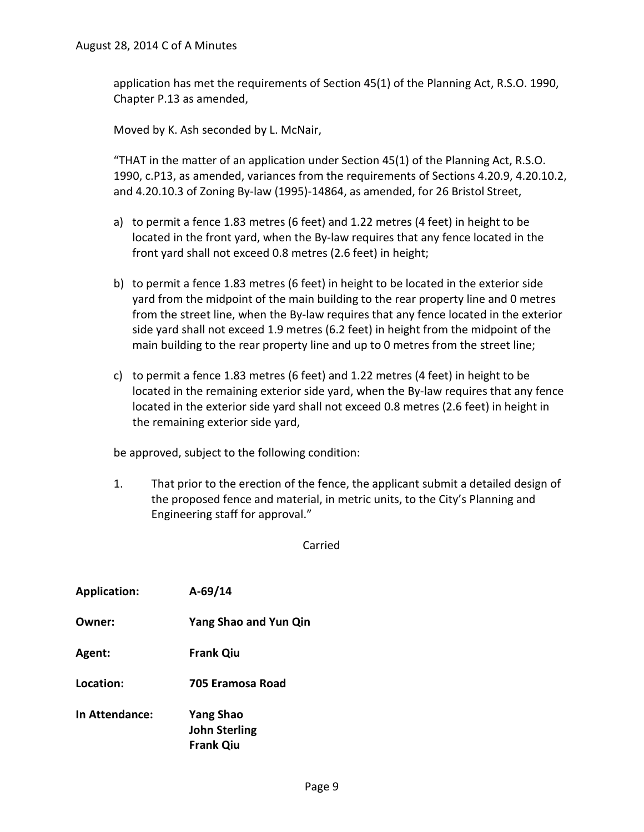application has met the requirements of Section 45(1) of the Planning Act, R.S.O. 1990, Chapter P.13 as amended,

Moved by K. Ash seconded by L. McNair,

"THAT in the matter of an application under Section 45(1) of the Planning Act, R.S.O. 1990, c.P13, as amended, variances from the requirements of Sections 4.20.9, 4.20.10.2, and 4.20.10.3 of Zoning By-law (1995)-14864, as amended, for 26 Bristol Street,

- a) to permit a fence 1.83 metres (6 feet) and 1.22 metres (4 feet) in height to be located in the front yard, when the By-law requires that any fence located in the front yard shall not exceed 0.8 metres (2.6 feet) in height;
- b) to permit a fence 1.83 metres (6 feet) in height to be located in the exterior side yard from the midpoint of the main building to the rear property line and 0 metres from the street line, when the By-law requires that any fence located in the exterior side yard shall not exceed 1.9 metres (6.2 feet) in height from the midpoint of the main building to the rear property line and up to 0 metres from the street line;
- c) to permit a fence 1.83 metres (6 feet) and 1.22 metres (4 feet) in height to be located in the remaining exterior side yard, when the By-law requires that any fence located in the exterior side yard shall not exceed 0.8 metres (2.6 feet) in height in the remaining exterior side yard,

be approved, subject to the following condition:

1. That prior to the erection of the fence, the applicant submit a detailed design of the proposed fence and material, in metric units, to the City's Planning and Engineering staff for approval."

Carried

| $A-69/14$                                                    |
|--------------------------------------------------------------|
| <b>Yang Shao and Yun Qin</b>                                 |
| <b>Frank Qiu</b>                                             |
| 705 Eramosa Road                                             |
| <b>Yang Shao</b><br><b>John Sterling</b><br><b>Frank Qiu</b> |
|                                                              |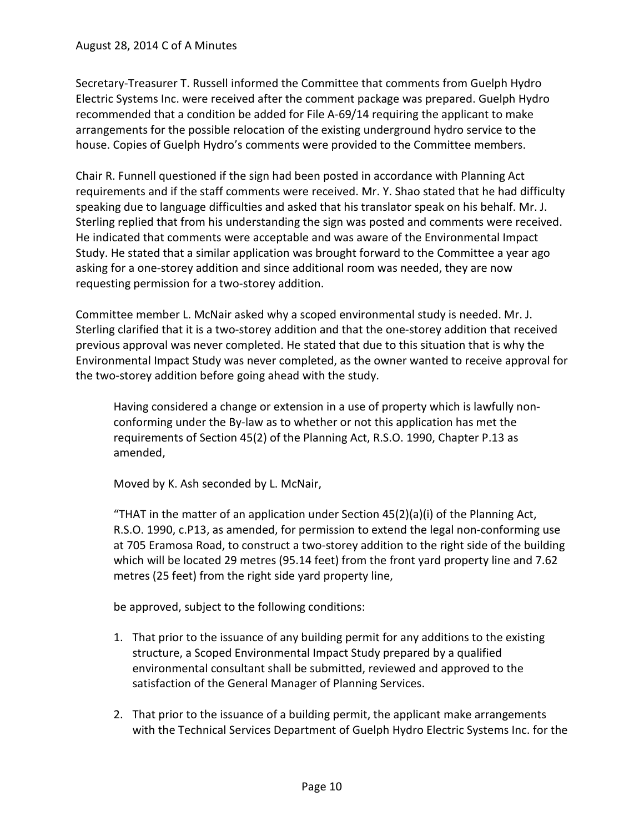Secretary-Treasurer T. Russell informed the Committee that comments from Guelph Hydro Electric Systems Inc. were received after the comment package was prepared. Guelph Hydro recommended that a condition be added for File A-69/14 requiring the applicant to make arrangements for the possible relocation of the existing underground hydro service to the house. Copies of Guelph Hydro's comments were provided to the Committee members.

Chair R. Funnell questioned if the sign had been posted in accordance with Planning Act requirements and if the staff comments were received. Mr. Y. Shao stated that he had difficulty speaking due to language difficulties and asked that his translator speak on his behalf. Mr. J. Sterling replied that from his understanding the sign was posted and comments were received. He indicated that comments were acceptable and was aware of the Environmental Impact Study. He stated that a similar application was brought forward to the Committee a year ago asking for a one-storey addition and since additional room was needed, they are now requesting permission for a two-storey addition.

Committee member L. McNair asked why a scoped environmental study is needed. Mr. J. Sterling clarified that it is a two-storey addition and that the one-storey addition that received previous approval was never completed. He stated that due to this situation that is why the Environmental Impact Study was never completed, as the owner wanted to receive approval for the two-storey addition before going ahead with the study.

Having considered a change or extension in a use of property which is lawfully nonconforming under the By-law as to whether or not this application has met the requirements of Section 45(2) of the Planning Act, R.S.O. 1990, Chapter P.13 as amended,

Moved by K. Ash seconded by L. McNair,

"THAT in the matter of an application under Section  $45(2)(a)(i)$  of the Planning Act, R.S.O. 1990, c.P13, as amended, for permission to extend the legal non-conforming use at 705 Eramosa Road, to construct a two-storey addition to the right side of the building which will be located 29 metres (95.14 feet) from the front yard property line and 7.62 metres (25 feet) from the right side yard property line,

be approved, subject to the following conditions:

- 1. That prior to the issuance of any building permit for any additions to the existing structure, a Scoped Environmental Impact Study prepared by a qualified environmental consultant shall be submitted, reviewed and approved to the satisfaction of the General Manager of Planning Services.
- 2. That prior to the issuance of a building permit, the applicant make arrangements with the Technical Services Department of Guelph Hydro Electric Systems Inc. for the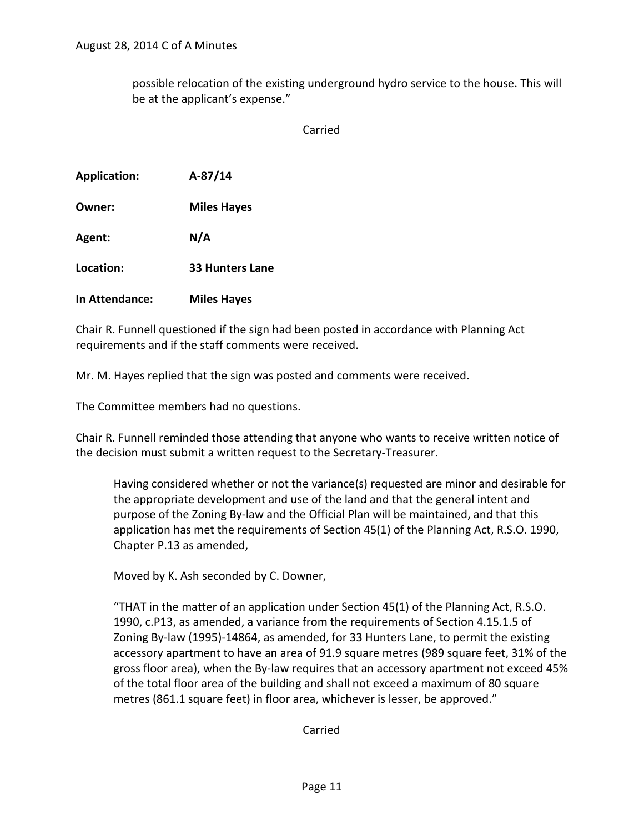possible relocation of the existing underground hydro service to the house. This will be at the applicant's expense."

Carried

| <b>Application:</b> | $A-87/14$              |
|---------------------|------------------------|
| Owner:              | <b>Miles Hayes</b>     |
| Agent:              | N/A                    |
| Location:           | <b>33 Hunters Lane</b> |
| In Attendance:      | <b>Miles Hayes</b>     |

Chair R. Funnell questioned if the sign had been posted in accordance with Planning Act requirements and if the staff comments were received.

Mr. M. Hayes replied that the sign was posted and comments were received.

The Committee members had no questions.

Chair R. Funnell reminded those attending that anyone who wants to receive written notice of the decision must submit a written request to the Secretary-Treasurer.

Having considered whether or not the variance(s) requested are minor and desirable for the appropriate development and use of the land and that the general intent and purpose of the Zoning By-law and the Official Plan will be maintained, and that this application has met the requirements of Section 45(1) of the Planning Act, R.S.O. 1990, Chapter P.13 as amended,

Moved by K. Ash seconded by C. Downer,

"THAT in the matter of an application under Section 45(1) of the Planning Act, R.S.O. 1990, c.P13, as amended, a variance from the requirements of Section 4.15.1.5 of Zoning By-law (1995)-14864, as amended, for 33 Hunters Lane, to permit the existing accessory apartment to have an area of 91.9 square metres (989 square feet, 31% of the gross floor area), when the By-law requires that an accessory apartment not exceed 45% of the total floor area of the building and shall not exceed a maximum of 80 square metres (861.1 square feet) in floor area, whichever is lesser, be approved."

Carried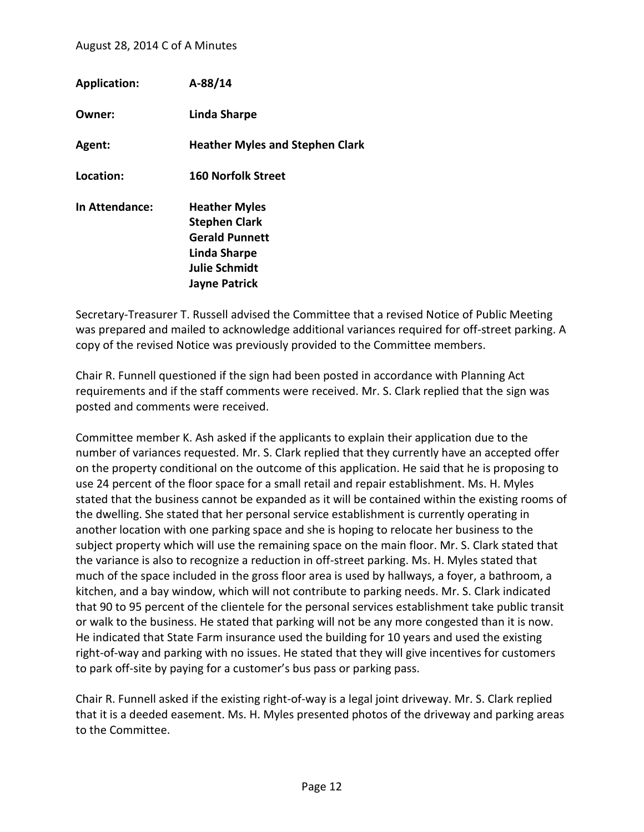| <b>Application:</b> | $A-88/14$                                                                                                                      |
|---------------------|--------------------------------------------------------------------------------------------------------------------------------|
| Owner:              | Linda Sharpe                                                                                                                   |
| Agent:              | <b>Heather Myles and Stephen Clark</b>                                                                                         |
| Location:           | <b>160 Norfolk Street</b>                                                                                                      |
| In Attendance:      | <b>Heather Myles</b><br><b>Stephen Clark</b><br><b>Gerald Punnett</b><br>Linda Sharpe<br>Julie Schmidt<br><b>Jayne Patrick</b> |

Secretary-Treasurer T. Russell advised the Committee that a revised Notice of Public Meeting was prepared and mailed to acknowledge additional variances required for off-street parking. A copy of the revised Notice was previously provided to the Committee members.

Chair R. Funnell questioned if the sign had been posted in accordance with Planning Act requirements and if the staff comments were received. Mr. S. Clark replied that the sign was posted and comments were received.

Committee member K. Ash asked if the applicants to explain their application due to the number of variances requested. Mr. S. Clark replied that they currently have an accepted offer on the property conditional on the outcome of this application. He said that he is proposing to use 24 percent of the floor space for a small retail and repair establishment. Ms. H. Myles stated that the business cannot be expanded as it will be contained within the existing rooms of the dwelling. She stated that her personal service establishment is currently operating in another location with one parking space and she is hoping to relocate her business to the subject property which will use the remaining space on the main floor. Mr. S. Clark stated that the variance is also to recognize a reduction in off-street parking. Ms. H. Myles stated that much of the space included in the gross floor area is used by hallways, a foyer, a bathroom, a kitchen, and a bay window, which will not contribute to parking needs. Mr. S. Clark indicated that 90 to 95 percent of the clientele for the personal services establishment take public transit or walk to the business. He stated that parking will not be any more congested than it is now. He indicated that State Farm insurance used the building for 10 years and used the existing right-of-way and parking with no issues. He stated that they will give incentives for customers to park off-site by paying for a customer's bus pass or parking pass.

Chair R. Funnell asked if the existing right-of-way is a legal joint driveway. Mr. S. Clark replied that it is a deeded easement. Ms. H. Myles presented photos of the driveway and parking areas to the Committee.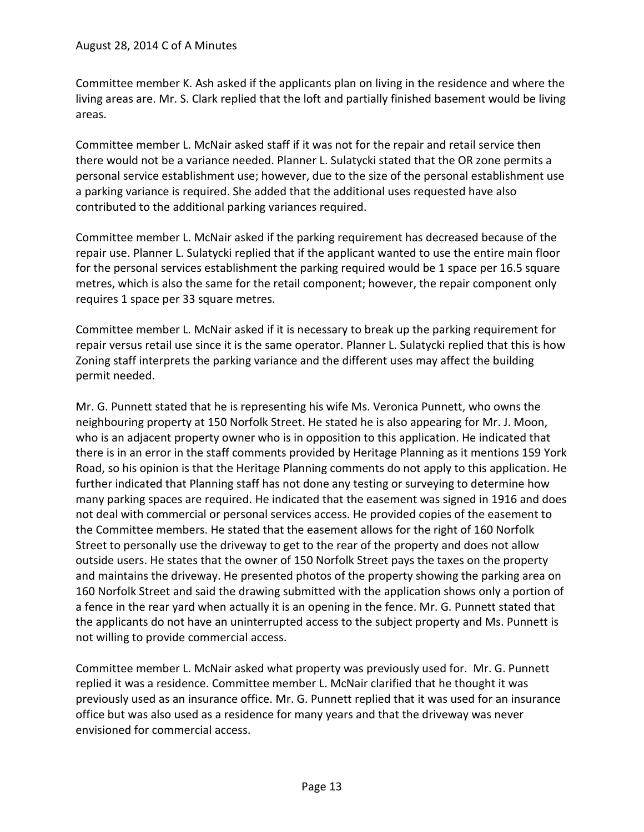Committee member K. Ash asked if the applicants plan on living in the residence and where the living areas are. Mr. S. Clark replied that the loft and partially finished basement would be living areas.

Committee member L. McNair asked staff if it was not for the repair and retail service then there would not be a variance needed. Planner L. Sulatycki stated that the OR zone permits a personal service establishment use; however, due to the size of the personal establishment use a parking variance is required. She added that the additional uses requested have also contributed to the additional parking variances required.

Committee member L. McNair asked if the parking requirement has decreased because of the repair use. Planner L. Sulatycki replied that if the applicant wanted to use the entire main floor for the personal services establishment the parking required would be 1 space per 16.5 square metres, which is also the same for the retail component; however, the repair component only requires 1 space per 33 square metres.

Committee member L. McNair asked if it is necessary to break up the parking requirement for repair versus retail use since it is the same operator. Planner L. Sulatycki replied that this is how Zoning staff interprets the parking variance and the different uses may affect the building permit needed.

Mr. G. Punnett stated that he is representing his wife Ms. Veronica Punnett, who owns the neighbouring property at 150 Norfolk Street. He stated he is also appearing for Mr. J. Moon, who is an adjacent property owner who is in opposition to this application. He indicated that there is in an error in the staff comments provided by Heritage Planning as it mentions 159 York Road, so his opinion is that the Heritage Planning comments do not apply to this application. He further indicated that Planning staff has not done any testing or surveying to determine how many parking spaces are required. He indicated that the easement was signed in 1916 and does not deal with commercial or personal services access. He provided copies of the easement to the Committee members. He stated that the easement allows for the right of 160 Norfolk Street to personally use the driveway to get to the rear of the property and does not allow outside users. He states that the owner of 150 Norfolk Street pays the taxes on the property and maintains the driveway. He presented photos of the property showing the parking area on 160 Norfolk Street and said the drawing submitted with the application shows only a portion of a fence in the rear yard when actually it is an opening in the fence. Mr. G. Punnett stated that the applicants do not have an uninterrupted access to the subject property and Ms. Punnett is not willing to provide commercial access.

Committee member L. McNair asked what property was previously used for. Mr. G. Punnett replied it was a residence. Committee member L. McNair clarified that he thought it was previously used as an insurance office. Mr. G. Punnett replied that it was used for an insurance office but was also used as a residence for many years and that the driveway was never envisioned for commercial access.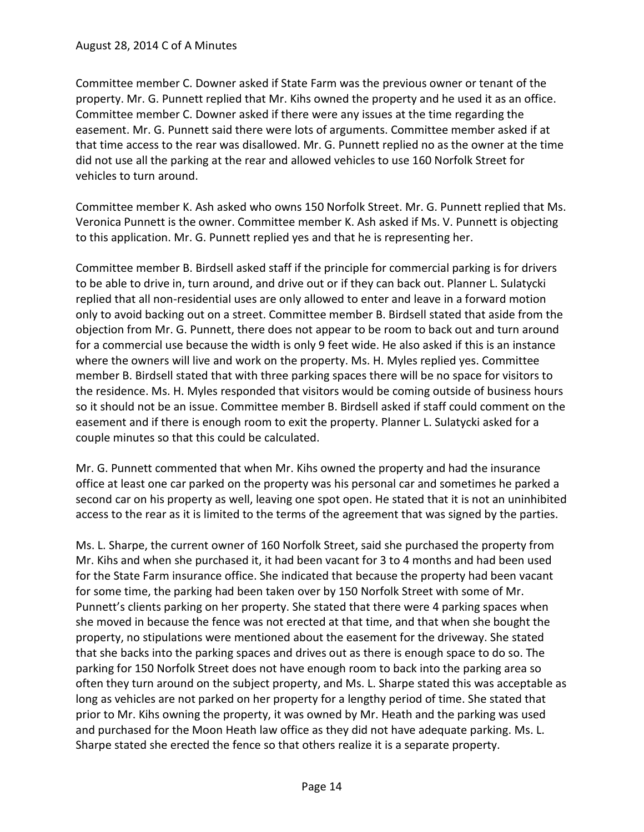Committee member C. Downer asked if State Farm was the previous owner or tenant of the property. Mr. G. Punnett replied that Mr. Kihs owned the property and he used it as an office. Committee member C. Downer asked if there were any issues at the time regarding the easement. Mr. G. Punnett said there were lots of arguments. Committee member asked if at that time access to the rear was disallowed. Mr. G. Punnett replied no as the owner at the time did not use all the parking at the rear and allowed vehicles to use 160 Norfolk Street for vehicles to turn around.

Committee member K. Ash asked who owns 150 Norfolk Street. Mr. G. Punnett replied that Ms. Veronica Punnett is the owner. Committee member K. Ash asked if Ms. V. Punnett is objecting to this application. Mr. G. Punnett replied yes and that he is representing her.

Committee member B. Birdsell asked staff if the principle for commercial parking is for drivers to be able to drive in, turn around, and drive out or if they can back out. Planner L. Sulatycki replied that all non-residential uses are only allowed to enter and leave in a forward motion only to avoid backing out on a street. Committee member B. Birdsell stated that aside from the objection from Mr. G. Punnett, there does not appear to be room to back out and turn around for a commercial use because the width is only 9 feet wide. He also asked if this is an instance where the owners will live and work on the property. Ms. H. Myles replied yes. Committee member B. Birdsell stated that with three parking spaces there will be no space for visitors to the residence. Ms. H. Myles responded that visitors would be coming outside of business hours so it should not be an issue. Committee member B. Birdsell asked if staff could comment on the easement and if there is enough room to exit the property. Planner L. Sulatycki asked for a couple minutes so that this could be calculated.

Mr. G. Punnett commented that when Mr. Kihs owned the property and had the insurance office at least one car parked on the property was his personal car and sometimes he parked a second car on his property as well, leaving one spot open. He stated that it is not an uninhibited access to the rear as it is limited to the terms of the agreement that was signed by the parties.

Ms. L. Sharpe, the current owner of 160 Norfolk Street, said she purchased the property from Mr. Kihs and when she purchased it, it had been vacant for 3 to 4 months and had been used for the State Farm insurance office. She indicated that because the property had been vacant for some time, the parking had been taken over by 150 Norfolk Street with some of Mr. Punnett's clients parking on her property. She stated that there were 4 parking spaces when she moved in because the fence was not erected at that time, and that when she bought the property, no stipulations were mentioned about the easement for the driveway. She stated that she backs into the parking spaces and drives out as there is enough space to do so. The parking for 150 Norfolk Street does not have enough room to back into the parking area so often they turn around on the subject property, and Ms. L. Sharpe stated this was acceptable as long as vehicles are not parked on her property for a lengthy period of time. She stated that prior to Mr. Kihs owning the property, it was owned by Mr. Heath and the parking was used and purchased for the Moon Heath law office as they did not have adequate parking. Ms. L. Sharpe stated she erected the fence so that others realize it is a separate property.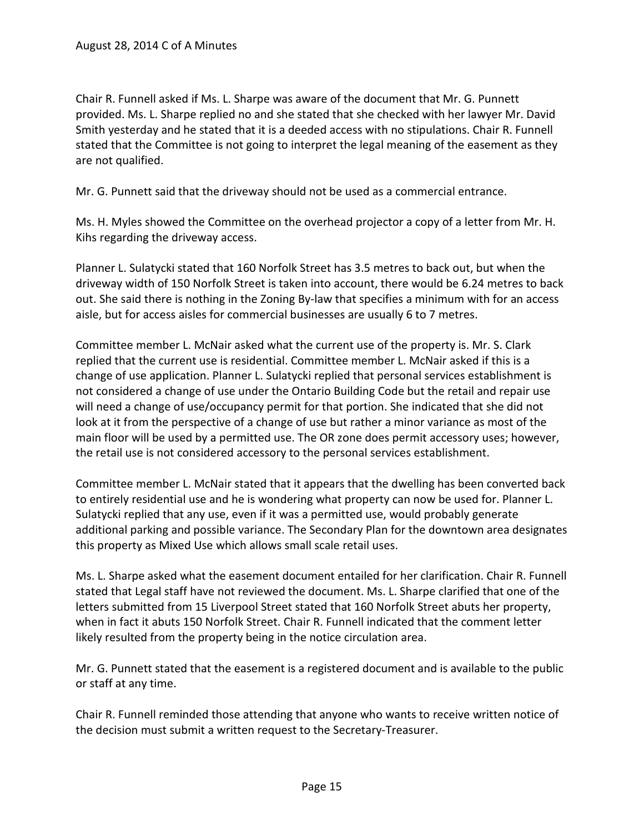Chair R. Funnell asked if Ms. L. Sharpe was aware of the document that Mr. G. Punnett provided. Ms. L. Sharpe replied no and she stated that she checked with her lawyer Mr. David Smith yesterday and he stated that it is a deeded access with no stipulations. Chair R. Funnell stated that the Committee is not going to interpret the legal meaning of the easement as they are not qualified.

Mr. G. Punnett said that the driveway should not be used as a commercial entrance.

Ms. H. Myles showed the Committee on the overhead projector a copy of a letter from Mr. H. Kihs regarding the driveway access.

Planner L. Sulatycki stated that 160 Norfolk Street has 3.5 metres to back out, but when the driveway width of 150 Norfolk Street is taken into account, there would be 6.24 metres to back out. She said there is nothing in the Zoning By-law that specifies a minimum with for an access aisle, but for access aisles for commercial businesses are usually 6 to 7 metres.

Committee member L. McNair asked what the current use of the property is. Mr. S. Clark replied that the current use is residential. Committee member L. McNair asked if this is a change of use application. Planner L. Sulatycki replied that personal services establishment is not considered a change of use under the Ontario Building Code but the retail and repair use will need a change of use/occupancy permit for that portion. She indicated that she did not look at it from the perspective of a change of use but rather a minor variance as most of the main floor will be used by a permitted use. The OR zone does permit accessory uses; however, the retail use is not considered accessory to the personal services establishment.

Committee member L. McNair stated that it appears that the dwelling has been converted back to entirely residential use and he is wondering what property can now be used for. Planner L. Sulatycki replied that any use, even if it was a permitted use, would probably generate additional parking and possible variance. The Secondary Plan for the downtown area designates this property as Mixed Use which allows small scale retail uses.

Ms. L. Sharpe asked what the easement document entailed for her clarification. Chair R. Funnell stated that Legal staff have not reviewed the document. Ms. L. Sharpe clarified that one of the letters submitted from 15 Liverpool Street stated that 160 Norfolk Street abuts her property, when in fact it abuts 150 Norfolk Street. Chair R. Funnell indicated that the comment letter likely resulted from the property being in the notice circulation area.

Mr. G. Punnett stated that the easement is a registered document and is available to the public or staff at any time.

Chair R. Funnell reminded those attending that anyone who wants to receive written notice of the decision must submit a written request to the Secretary-Treasurer.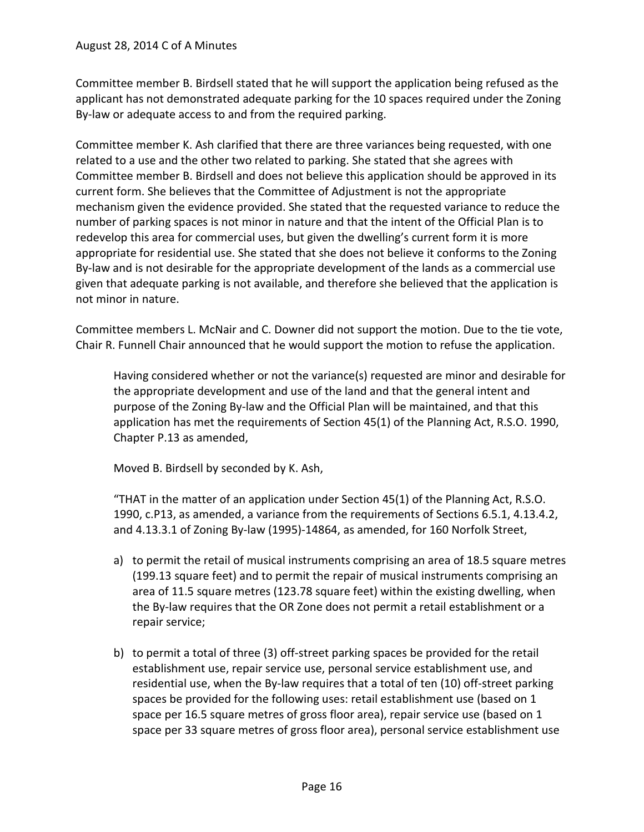Committee member B. Birdsell stated that he will support the application being refused as the applicant has not demonstrated adequate parking for the 10 spaces required under the Zoning By-law or adequate access to and from the required parking.

Committee member K. Ash clarified that there are three variances being requested, with one related to a use and the other two related to parking. She stated that she agrees with Committee member B. Birdsell and does not believe this application should be approved in its current form. She believes that the Committee of Adjustment is not the appropriate mechanism given the evidence provided. She stated that the requested variance to reduce the number of parking spaces is not minor in nature and that the intent of the Official Plan is to redevelop this area for commercial uses, but given the dwelling's current form it is more appropriate for residential use. She stated that she does not believe it conforms to the Zoning By-law and is not desirable for the appropriate development of the lands as a commercial use given that adequate parking is not available, and therefore she believed that the application is not minor in nature.

Committee members L. McNair and C. Downer did not support the motion. Due to the tie vote, Chair R. Funnell Chair announced that he would support the motion to refuse the application.

Having considered whether or not the variance(s) requested are minor and desirable for the appropriate development and use of the land and that the general intent and purpose of the Zoning By-law and the Official Plan will be maintained, and that this application has met the requirements of Section 45(1) of the Planning Act, R.S.O. 1990, Chapter P.13 as amended,

Moved B. Birdsell by seconded by K. Ash,

"THAT in the matter of an application under Section 45(1) of the Planning Act, R.S.O. 1990, c.P13, as amended, a variance from the requirements of Sections 6.5.1, 4.13.4.2, and 4.13.3.1 of Zoning By-law (1995)-14864, as amended, for 160 Norfolk Street,

- a) to permit the retail of musical instruments comprising an area of 18.5 square metres (199.13 square feet) and to permit the repair of musical instruments comprising an area of 11.5 square metres (123.78 square feet) within the existing dwelling, when the By-law requires that the OR Zone does not permit a retail establishment or a repair service;
- b) to permit a total of three (3) off-street parking spaces be provided for the retail establishment use, repair service use, personal service establishment use, and residential use, when the By-law requires that a total of ten (10) off-street parking spaces be provided for the following uses: retail establishment use (based on 1 space per 16.5 square metres of gross floor area), repair service use (based on 1 space per 33 square metres of gross floor area), personal service establishment use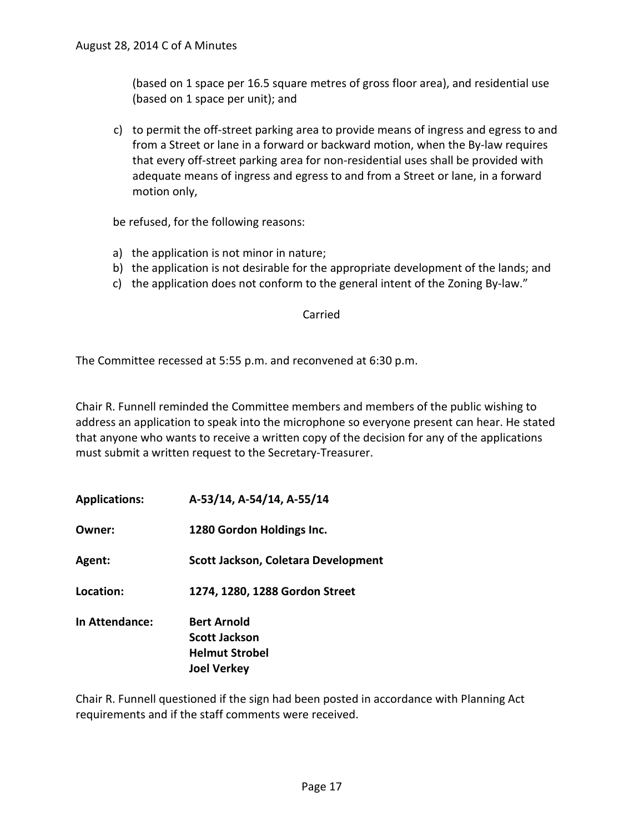(based on 1 space per 16.5 square metres of gross floor area), and residential use (based on 1 space per unit); and

c) to permit the off-street parking area to provide means of ingress and egress to and from a Street or lane in a forward or backward motion, when the By-law requires that every off-street parking area for non-residential uses shall be provided with adequate means of ingress and egress to and from a Street or lane, in a forward motion only,

be refused, for the following reasons:

- a) the application is not minor in nature;
- b) the application is not desirable for the appropriate development of the lands; and
- c) the application does not conform to the general intent of the Zoning By-law."

#### Carried

The Committee recessed at 5:55 p.m. and reconvened at 6:30 p.m.

Chair R. Funnell reminded the Committee members and members of the public wishing to address an application to speak into the microphone so everyone present can hear. He stated that anyone who wants to receive a written copy of the decision for any of the applications must submit a written request to the Secretary-Treasurer.

**Applications: A-53/14, A-54/14, A-55/14 Owner: 1280 Gordon Holdings Inc. Agent: Scott Jackson, Coletara Development Location: 1274, 1280, 1288 Gordon Street In Attendance: Bert Arnold Scott Jackson Helmut Strobel Joel Verkey**

Chair R. Funnell questioned if the sign had been posted in accordance with Planning Act requirements and if the staff comments were received.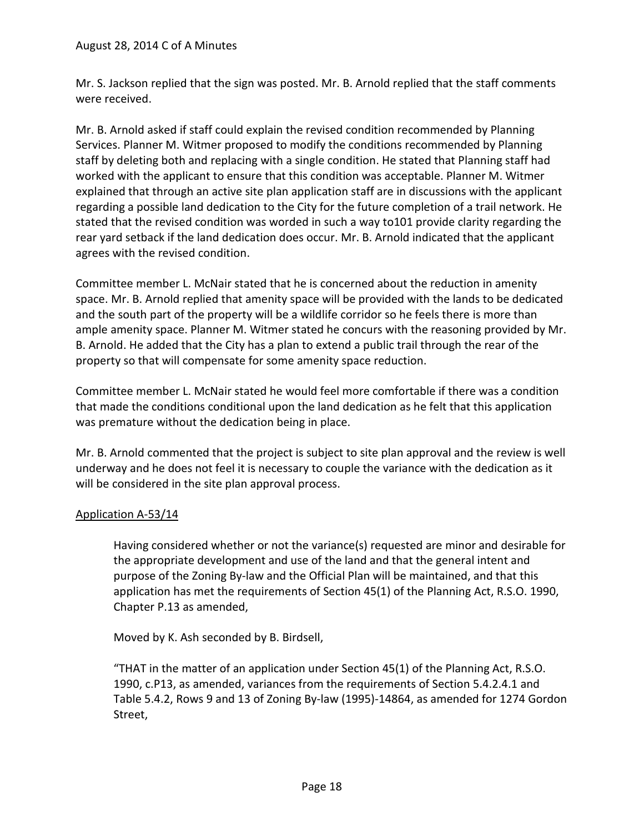Mr. S. Jackson replied that the sign was posted. Mr. B. Arnold replied that the staff comments were received.

Mr. B. Arnold asked if staff could explain the revised condition recommended by Planning Services. Planner M. Witmer proposed to modify the conditions recommended by Planning staff by deleting both and replacing with a single condition. He stated that Planning staff had worked with the applicant to ensure that this condition was acceptable. Planner M. Witmer explained that through an active site plan application staff are in discussions with the applicant regarding a possible land dedication to the City for the future completion of a trail network. He stated that the revised condition was worded in such a way to101 provide clarity regarding the rear yard setback if the land dedication does occur. Mr. B. Arnold indicated that the applicant agrees with the revised condition.

Committee member L. McNair stated that he is concerned about the reduction in amenity space. Mr. B. Arnold replied that amenity space will be provided with the lands to be dedicated and the south part of the property will be a wildlife corridor so he feels there is more than ample amenity space. Planner M. Witmer stated he concurs with the reasoning provided by Mr. B. Arnold. He added that the City has a plan to extend a public trail through the rear of the property so that will compensate for some amenity space reduction.

Committee member L. McNair stated he would feel more comfortable if there was a condition that made the conditions conditional upon the land dedication as he felt that this application was premature without the dedication being in place.

Mr. B. Arnold commented that the project is subject to site plan approval and the review is well underway and he does not feel it is necessary to couple the variance with the dedication as it will be considered in the site plan approval process.

# Application A-53/14

Having considered whether or not the variance(s) requested are minor and desirable for the appropriate development and use of the land and that the general intent and purpose of the Zoning By-law and the Official Plan will be maintained, and that this application has met the requirements of Section 45(1) of the Planning Act, R.S.O. 1990, Chapter P.13 as amended,

Moved by K. Ash seconded by B. Birdsell,

"THAT in the matter of an application under Section 45(1) of the Planning Act, R.S.O. 1990, c.P13, as amended, variances from the requirements of Section 5.4.2.4.1 and Table 5.4.2, Rows 9 and 13 of Zoning By-law (1995)-14864, as amended for 1274 Gordon Street,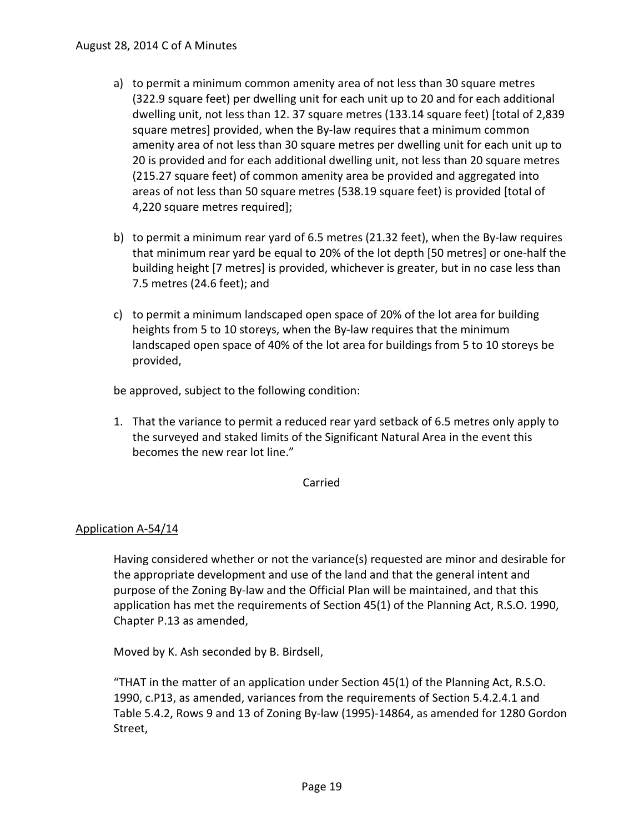- a) to permit a minimum common amenity area of not less than 30 square metres (322.9 square feet) per dwelling unit for each unit up to 20 and for each additional dwelling unit, not less than 12. 37 square metres (133.14 square feet) [total of 2,839 square metres] provided, when the By-law requires that a minimum common amenity area of not less than 30 square metres per dwelling unit for each unit up to 20 is provided and for each additional dwelling unit, not less than 20 square metres (215.27 square feet) of common amenity area be provided and aggregated into areas of not less than 50 square metres (538.19 square feet) is provided [total of 4,220 square metres required];
- b) to permit a minimum rear yard of 6.5 metres (21.32 feet), when the By-law requires that minimum rear yard be equal to 20% of the lot depth [50 metres] or one-half the building height [7 metres] is provided, whichever is greater, but in no case less than 7.5 metres (24.6 feet); and
- c) to permit a minimum landscaped open space of 20% of the lot area for building heights from 5 to 10 storeys, when the By-law requires that the minimum landscaped open space of 40% of the lot area for buildings from 5 to 10 storeys be provided,

be approved, subject to the following condition:

1. That the variance to permit a reduced rear yard setback of 6.5 metres only apply to the surveyed and staked limits of the Significant Natural Area in the event this becomes the new rear lot line."

## Carried

# Application A-54/14

Having considered whether or not the variance(s) requested are minor and desirable for the appropriate development and use of the land and that the general intent and purpose of the Zoning By-law and the Official Plan will be maintained, and that this application has met the requirements of Section 45(1) of the Planning Act, R.S.O. 1990, Chapter P.13 as amended,

Moved by K. Ash seconded by B. Birdsell,

"THAT in the matter of an application under Section 45(1) of the Planning Act, R.S.O. 1990, c.P13, as amended, variances from the requirements of Section 5.4.2.4.1 and Table 5.4.2, Rows 9 and 13 of Zoning By-law (1995)-14864, as amended for 1280 Gordon Street,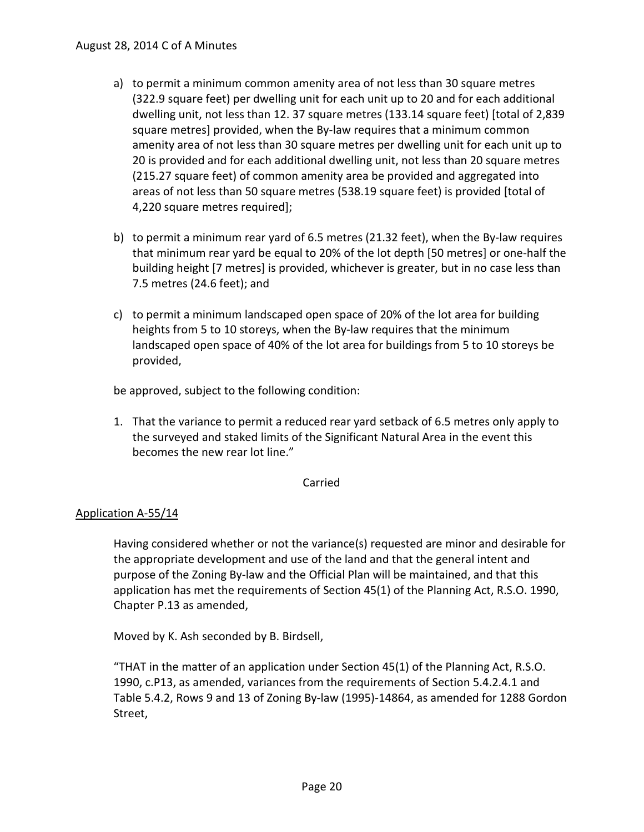- a) to permit a minimum common amenity area of not less than 30 square metres (322.9 square feet) per dwelling unit for each unit up to 20 and for each additional dwelling unit, not less than 12. 37 square metres (133.14 square feet) [total of 2,839 square metres] provided, when the By-law requires that a minimum common amenity area of not less than 30 square metres per dwelling unit for each unit up to 20 is provided and for each additional dwelling unit, not less than 20 square metres (215.27 square feet) of common amenity area be provided and aggregated into areas of not less than 50 square metres (538.19 square feet) is provided [total of 4,220 square metres required];
- b) to permit a minimum rear yard of 6.5 metres (21.32 feet), when the By-law requires that minimum rear yard be equal to 20% of the lot depth [50 metres] or one-half the building height [7 metres] is provided, whichever is greater, but in no case less than 7.5 metres (24.6 feet); and
- c) to permit a minimum landscaped open space of 20% of the lot area for building heights from 5 to 10 storeys, when the By-law requires that the minimum landscaped open space of 40% of the lot area for buildings from 5 to 10 storeys be provided,

be approved, subject to the following condition:

1. That the variance to permit a reduced rear yard setback of 6.5 metres only apply to the surveyed and staked limits of the Significant Natural Area in the event this becomes the new rear lot line."

## Carried

## Application A-55/14

Having considered whether or not the variance(s) requested are minor and desirable for the appropriate development and use of the land and that the general intent and purpose of the Zoning By-law and the Official Plan will be maintained, and that this application has met the requirements of Section 45(1) of the Planning Act, R.S.O. 1990, Chapter P.13 as amended,

Moved by K. Ash seconded by B. Birdsell,

"THAT in the matter of an application under Section 45(1) of the Planning Act, R.S.O. 1990, c.P13, as amended, variances from the requirements of Section 5.4.2.4.1 and Table 5.4.2, Rows 9 and 13 of Zoning By-law (1995)-14864, as amended for 1288 Gordon Street,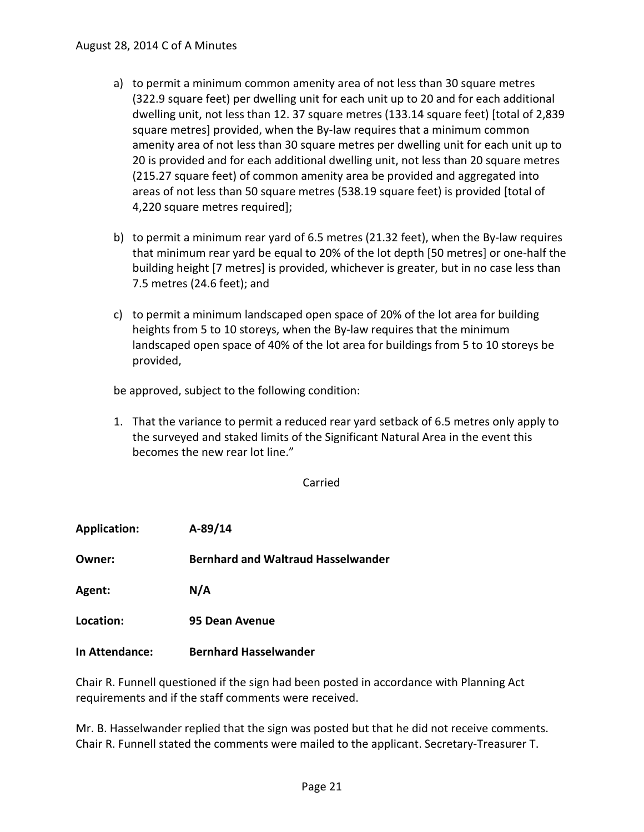- a) to permit a minimum common amenity area of not less than 30 square metres (322.9 square feet) per dwelling unit for each unit up to 20 and for each additional dwelling unit, not less than 12. 37 square metres (133.14 square feet) [total of 2,839 square metres] provided, when the By-law requires that a minimum common amenity area of not less than 30 square metres per dwelling unit for each unit up to 20 is provided and for each additional dwelling unit, not less than 20 square metres (215.27 square feet) of common amenity area be provided and aggregated into areas of not less than 50 square metres (538.19 square feet) is provided [total of 4,220 square metres required];
- b) to permit a minimum rear yard of 6.5 metres (21.32 feet), when the By-law requires that minimum rear yard be equal to 20% of the lot depth [50 metres] or one-half the building height [7 metres] is provided, whichever is greater, but in no case less than 7.5 metres (24.6 feet); and
- c) to permit a minimum landscaped open space of 20% of the lot area for building heights from 5 to 10 storeys, when the By-law requires that the minimum landscaped open space of 40% of the lot area for buildings from 5 to 10 storeys be provided,

be approved, subject to the following condition:

1. That the variance to permit a reduced rear yard setback of 6.5 metres only apply to the surveyed and staked limits of the Significant Natural Area in the event this becomes the new rear lot line."

Carried

| <b>Application:</b> | A-89/14                                   |
|---------------------|-------------------------------------------|
| Owner:              | <b>Bernhard and Waltraud Hasselwander</b> |
| Agent:              | N/A                                       |
| Location:           | 95 Dean Avenue                            |
| In Attendance:      | <b>Bernhard Hasselwander</b>              |

Chair R. Funnell questioned if the sign had been posted in accordance with Planning Act requirements and if the staff comments were received.

Mr. B. Hasselwander replied that the sign was posted but that he did not receive comments. Chair R. Funnell stated the comments were mailed to the applicant. Secretary-Treasurer T.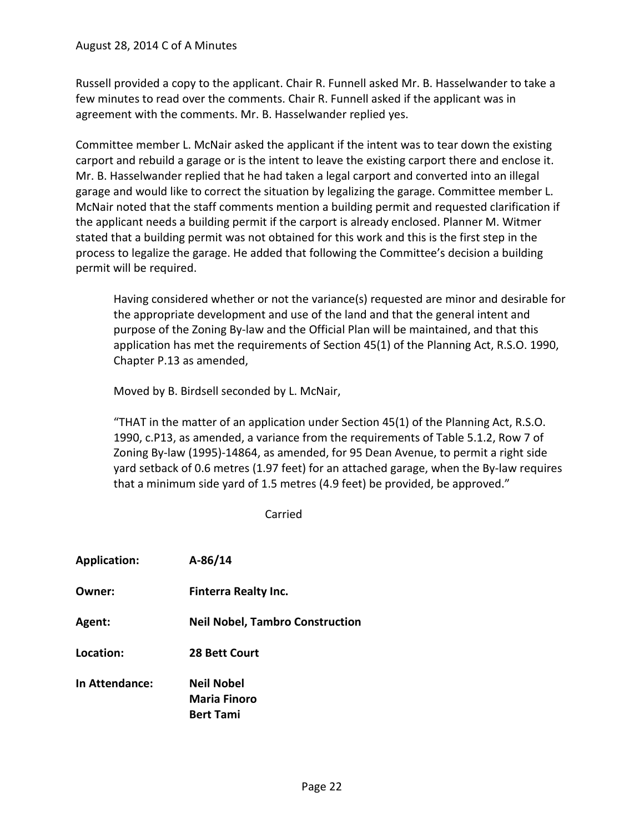Russell provided a copy to the applicant. Chair R. Funnell asked Mr. B. Hasselwander to take a few minutes to read over the comments. Chair R. Funnell asked if the applicant was in agreement with the comments. Mr. B. Hasselwander replied yes.

Committee member L. McNair asked the applicant if the intent was to tear down the existing carport and rebuild a garage or is the intent to leave the existing carport there and enclose it. Mr. B. Hasselwander replied that he had taken a legal carport and converted into an illegal garage and would like to correct the situation by legalizing the garage. Committee member L. McNair noted that the staff comments mention a building permit and requested clarification if the applicant needs a building permit if the carport is already enclosed. Planner M. Witmer stated that a building permit was not obtained for this work and this is the first step in the process to legalize the garage. He added that following the Committee's decision a building permit will be required.

Having considered whether or not the variance(s) requested are minor and desirable for the appropriate development and use of the land and that the general intent and purpose of the Zoning By-law and the Official Plan will be maintained, and that this application has met the requirements of Section 45(1) of the Planning Act, R.S.O. 1990, Chapter P.13 as amended,

Moved by B. Birdsell seconded by L. McNair,

"THAT in the matter of an application under Section 45(1) of the Planning Act, R.S.O. 1990, c.P13, as amended, a variance from the requirements of Table 5.1.2, Row 7 of Zoning By-law (1995)-14864, as amended, for 95 Dean Avenue, to permit a right side yard setback of 0.6 metres (1.97 feet) for an attached garage, when the By-law requires that a minimum side yard of 1.5 metres (4.9 feet) be provided, be approved."

Carried

| <b>Finterra Realty Inc.</b><br>Owner:<br>Agent:<br>Location:<br><b>28 Bett Court</b><br>In Attendance:<br><b>Neil Nobel</b><br><b>Maria Finoro</b><br><b>Bert Tami</b> | <b>Application:</b> | $A-86/14$                              |
|------------------------------------------------------------------------------------------------------------------------------------------------------------------------|---------------------|----------------------------------------|
|                                                                                                                                                                        |                     |                                        |
|                                                                                                                                                                        |                     | <b>Neil Nobel, Tambro Construction</b> |
|                                                                                                                                                                        |                     |                                        |
|                                                                                                                                                                        |                     |                                        |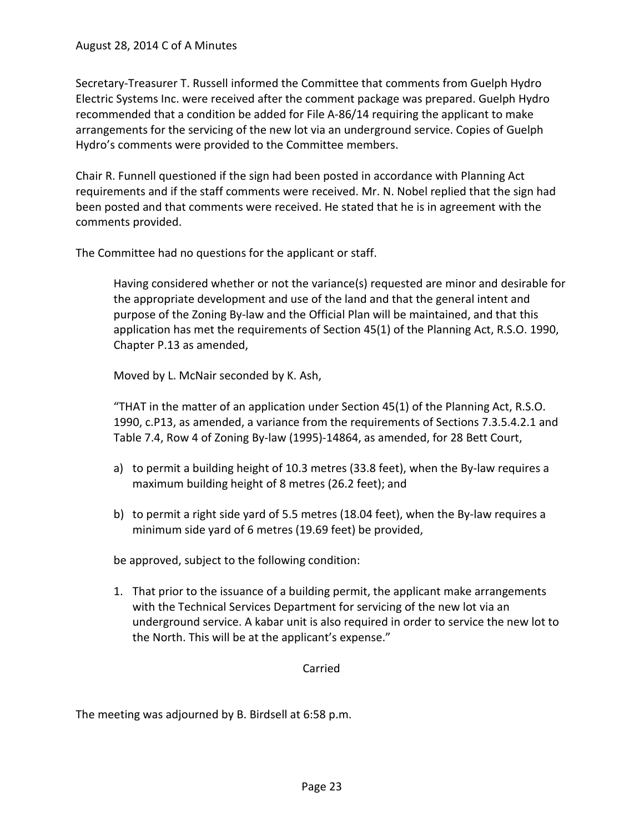Secretary-Treasurer T. Russell informed the Committee that comments from Guelph Hydro Electric Systems Inc. were received after the comment package was prepared. Guelph Hydro recommended that a condition be added for File A-86/14 requiring the applicant to make arrangements for the servicing of the new lot via an underground service. Copies of Guelph Hydro's comments were provided to the Committee members.

Chair R. Funnell questioned if the sign had been posted in accordance with Planning Act requirements and if the staff comments were received. Mr. N. Nobel replied that the sign had been posted and that comments were received. He stated that he is in agreement with the comments provided.

The Committee had no questions for the applicant or staff.

Having considered whether or not the variance(s) requested are minor and desirable for the appropriate development and use of the land and that the general intent and purpose of the Zoning By-law and the Official Plan will be maintained, and that this application has met the requirements of Section 45(1) of the Planning Act, R.S.O. 1990, Chapter P.13 as amended,

Moved by L. McNair seconded by K. Ash,

"THAT in the matter of an application under Section 45(1) of the Planning Act, R.S.O. 1990, c.P13, as amended, a variance from the requirements of Sections 7.3.5.4.2.1 and Table 7.4, Row 4 of Zoning By-law (1995)-14864, as amended, for 28 Bett Court,

- a) to permit a building height of 10.3 metres (33.8 feet), when the By-law requires a maximum building height of 8 metres (26.2 feet); and
- b) to permit a right side yard of 5.5 metres (18.04 feet), when the By-law requires a minimum side yard of 6 metres (19.69 feet) be provided,

be approved, subject to the following condition:

1. That prior to the issuance of a building permit, the applicant make arrangements with the Technical Services Department for servicing of the new lot via an underground service. A kabar unit is also required in order to service the new lot to the North. This will be at the applicant's expense."

Carried

The meeting was adjourned by B. Birdsell at 6:58 p.m.